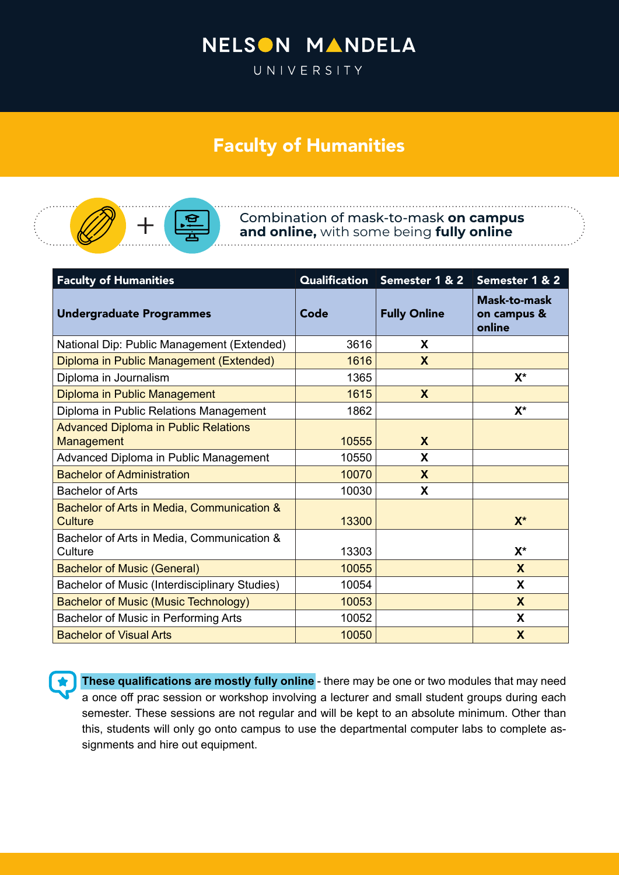## NELSON MANDELA

UNIVERSITY

## Faculty of Humanities



Combination of mask-to-mask **on campus and online,** with some being **fully online**

| <b>Faculty of Humanities</b>                              |       | Qualification Semester 1 & 2 | Semester 1 & 2                               |
|-----------------------------------------------------------|-------|------------------------------|----------------------------------------------|
| <b>Undergraduate Programmes</b>                           | Code  | <b>Fully Online</b>          | <b>Mask-to-mask</b><br>on campus &<br>online |
| National Dip: Public Management (Extended)                | 3616  | X                            |                                              |
| Diploma in Public Management (Extended)                   | 1616  | X                            |                                              |
| Diploma in Journalism                                     | 1365  |                              | $X^*$                                        |
| Diploma in Public Management                              | 1615  | X                            |                                              |
| Diploma in Public Relations Management                    | 1862  |                              | $X^*$                                        |
| <b>Advanced Diploma in Public Relations</b><br>Management | 10555 | X                            |                                              |
| Advanced Diploma in Public Management                     | 10550 | X                            |                                              |
| <b>Bachelor of Administration</b>                         | 10070 | X                            |                                              |
| <b>Bachelor of Arts</b>                                   | 10030 | X                            |                                              |
| Bachelor of Arts in Media, Communication &<br>Culture     | 13300 |                              | $X^*$                                        |
| Bachelor of Arts in Media, Communication &<br>Culture     | 13303 |                              | $X^*$                                        |
| <b>Bachelor of Music (General)</b>                        | 10055 |                              | X                                            |
| Bachelor of Music (Interdisciplinary Studies)             | 10054 |                              | X                                            |
| <b>Bachelor of Music (Music Technology)</b>               | 10053 |                              | $\boldsymbol{X}$                             |
| Bachelor of Music in Performing Arts                      | 10052 |                              | X                                            |
| <b>Bachelor of Visual Arts</b>                            | 10050 |                              | $\boldsymbol{\mathsf{X}}$                    |

**These qualifications are mostly fully online** - there may be one or two modules that may need a once off prac session or workshop involving a lecturer and small student groups during each semester. These sessions are not regular and will be kept to an absolute minimum. Other than this, students will only go onto campus to use the departmental computer labs to complete assignments and hire out equipment.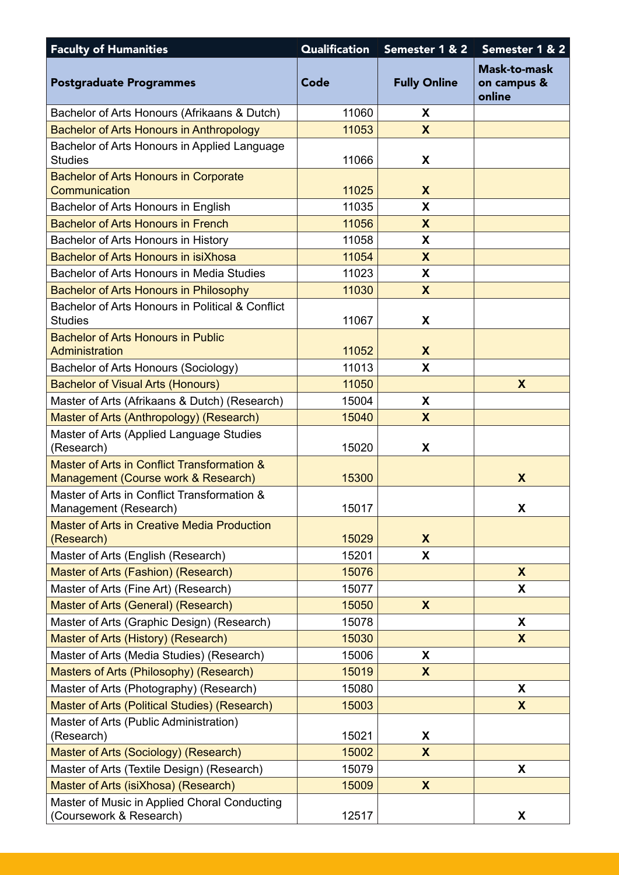| <b>Faculty of Humanities</b>                                                       | <b>Qualification</b> | Semester 1 & 2            | Semester 1 & 2                               |
|------------------------------------------------------------------------------------|----------------------|---------------------------|----------------------------------------------|
| <b>Postgraduate Programmes</b>                                                     | Code                 | <b>Fully Online</b>       | <b>Mask-to-mask</b><br>on campus &<br>online |
| Bachelor of Arts Honours (Afrikaans & Dutch)                                       | 11060                | X                         |                                              |
| <b>Bachelor of Arts Honours in Anthropology</b>                                    | 11053                | $\boldsymbol{\mathsf{X}}$ |                                              |
| Bachelor of Arts Honours in Applied Language<br><b>Studies</b>                     | 11066                | X                         |                                              |
| <b>Bachelor of Arts Honours in Corporate</b><br>Communication                      | 11025                | X                         |                                              |
| Bachelor of Arts Honours in English                                                | 11035                | X                         |                                              |
| <b>Bachelor of Arts Honours in French</b>                                          | 11056                | X                         |                                              |
| Bachelor of Arts Honours in History                                                | 11058                | X                         |                                              |
| Bachelor of Arts Honours in isiXhosa                                               | 11054                | $\boldsymbol{\mathsf{X}}$ |                                              |
| Bachelor of Arts Honours in Media Studies                                          | 11023                | X                         |                                              |
| <b>Bachelor of Arts Honours in Philosophy</b>                                      | 11030                | X                         |                                              |
| Bachelor of Arts Honours in Political & Conflict<br><b>Studies</b>                 | 11067                | X                         |                                              |
| <b>Bachelor of Arts Honours in Public</b><br>Administration                        | 11052                | $\boldsymbol{\mathsf{x}}$ |                                              |
| Bachelor of Arts Honours (Sociology)                                               | 11013                | X                         |                                              |
| <b>Bachelor of Visual Arts (Honours)</b>                                           | 11050                |                           | X                                            |
| Master of Arts (Afrikaans & Dutch) (Research)                                      | 15004                | X                         |                                              |
| Master of Arts (Anthropology) (Research)                                           | 15040                | X                         |                                              |
| Master of Arts (Applied Language Studies<br>(Research)                             | 15020                | X                         |                                              |
| Master of Arts in Conflict Transformation &<br>Management (Course work & Research) | 15300                |                           | X                                            |
| Master of Arts in Conflict Transformation &<br>Management (Research)               | 15017                |                           | X                                            |
| <b>Master of Arts in Creative Media Production</b><br>(Research)                   | 15029                | $\boldsymbol{X}$          |                                              |
| Master of Arts (English (Research)                                                 | 15201                | X                         |                                              |
| <b>Master of Arts (Fashion) (Research)</b>                                         | 15076                |                           | X                                            |
| Master of Arts (Fine Art) (Research)                                               | 15077                |                           | X                                            |
| Master of Arts (General) (Research)                                                | 15050                | $\boldsymbol{\mathsf{X}}$ |                                              |
| Master of Arts (Graphic Design) (Research)                                         | 15078                |                           | X                                            |
| Master of Arts (History) (Research)                                                | 15030                |                           | X                                            |
| Master of Arts (Media Studies) (Research)                                          | 15006                | X                         |                                              |
| Masters of Arts (Philosophy) (Research)                                            | 15019                | X                         |                                              |
| Master of Arts (Photography) (Research)                                            | 15080                |                           | X                                            |
| Master of Arts (Political Studies) (Research)                                      | 15003                |                           | $\boldsymbol{X}$                             |
| Master of Arts (Public Administration)                                             |                      |                           |                                              |
| (Research)                                                                         | 15021                | X                         |                                              |
| Master of Arts (Sociology) (Research)                                              | 15002                | X                         |                                              |
| Master of Arts (Textile Design) (Research)                                         | 15079                |                           | X                                            |
| Master of Arts (isiXhosa) (Research)                                               | 15009                | $\boldsymbol{\mathsf{X}}$ |                                              |
| Master of Music in Applied Choral Conducting<br>(Coursework & Research)            | 12517                |                           | X                                            |